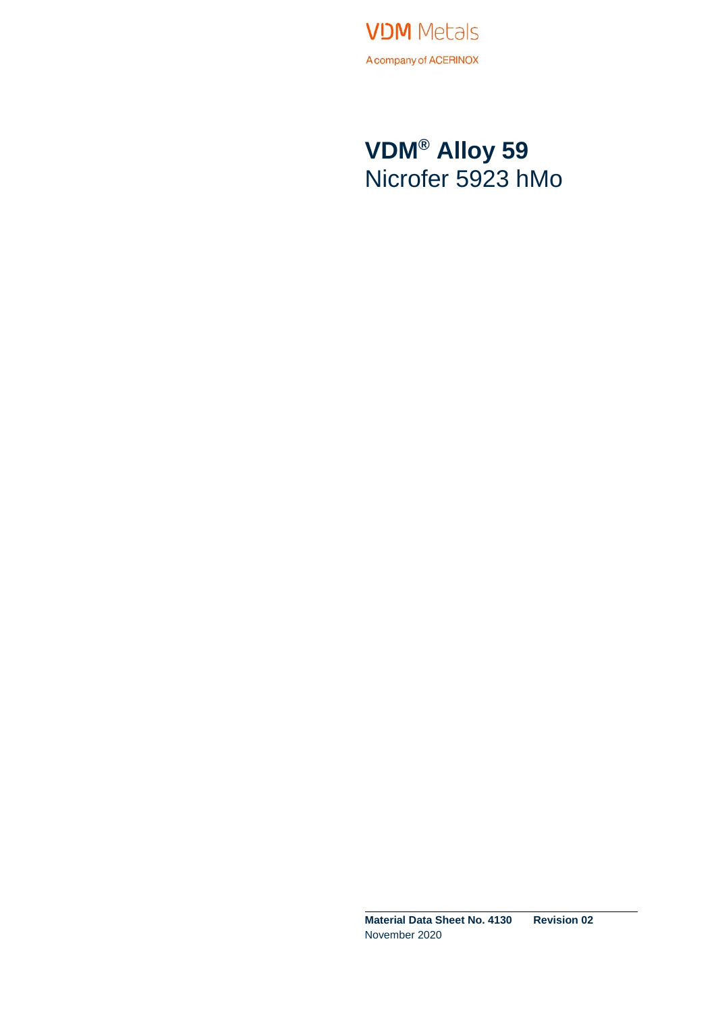

### **VDM® Alloy 59** Nicrofer 5923 hMo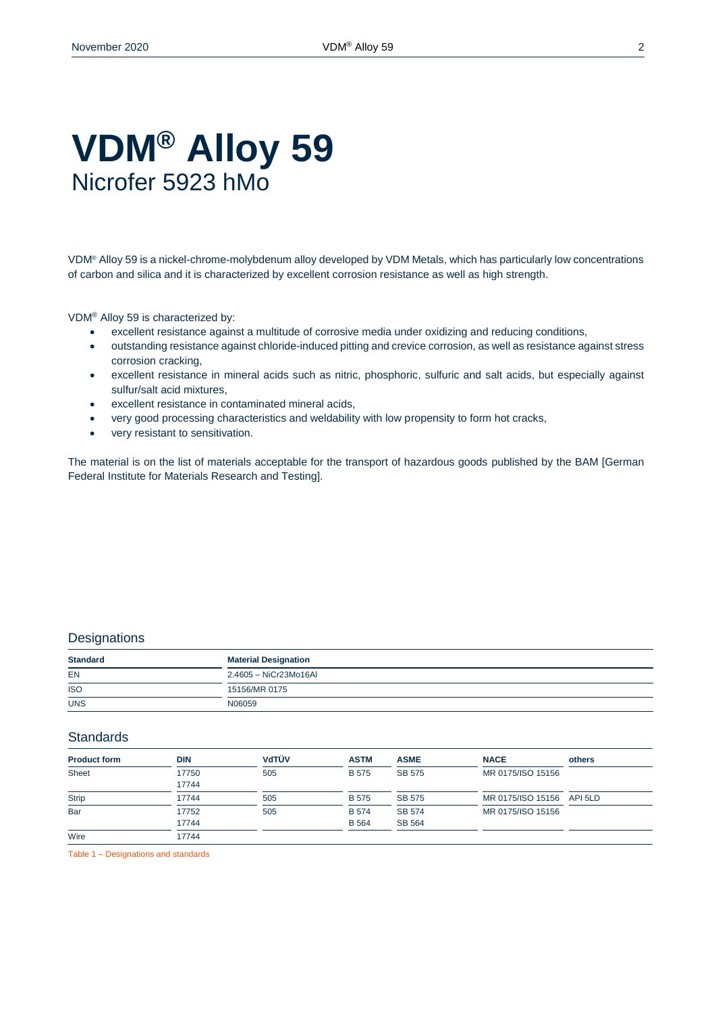### **VDM® Alloy 59** Nicrofer 5923 hMo

VDM® Alloy 59 is a nickel-chrome-molybdenum alloy developed by VDM Metals, which has particularly low concentrations of carbon and silica and it is characterized by excellent corrosion resistance as well as high strength.

VDM® Alloy 59 is characterized by:

- excellent resistance against a multitude of corrosive media under oxidizing and reducing conditions,
- outstanding resistance against chloride-induced pitting and crevice corrosion, as well as resistance against stress corrosion cracking,
- excellent resistance in mineral acids such as nitric, phosphoric, sulfuric and salt acids, but especially against sulfur/salt acid mixtures,
- excellent resistance in contaminated mineral acids,
- very good processing characteristics and weldability with low propensity to form hot cracks,
- very resistant to sensitivation.

The material is on the list of materials acceptable for the transport of hazardous goods published by the BAM [German Federal Institute for Materials Research and Testing].

#### **Designations**

| <b>Standard</b><br>______             | <b>Material Designation</b> |  |  |  |
|---------------------------------------|-----------------------------|--|--|--|
| <b>EN</b>                             | 2.4605 - NiCr23Mo16AI       |  |  |  |
| $\sim$<br><b>ISO</b><br>$\sim$ $\sim$ | 15156/MR 0175               |  |  |  |
| <b>UNS</b>                            | N06059                      |  |  |  |

#### **Standards**

| <b>Product form</b> | <b>DIN</b>     | <b>V</b> dTÜV | <b>ASTM</b>                  | <b>ASME</b>                    | <b>NACE</b>               | others |
|---------------------|----------------|---------------|------------------------------|--------------------------------|---------------------------|--------|
| Sheet               | 17750<br>17744 | 505           | <b>B</b> 575                 | SB 575                         | MR 0175/ISO 15156         |        |
| <b>Strip</b>        | 17744          | 505           | <b>B</b> 575                 | SB 575                         | MR 0175/ISO 15156 API 5LD |        |
| Bar                 | 17752<br>17744 | 505           | <b>B</b> 574<br><b>B</b> 564 | <b>SB 574</b><br><b>SB 564</b> | MR 0175/ISO 15156         |        |
| Wire                | 17744          |               |                              |                                |                           |        |

Table 1 – Designations and standards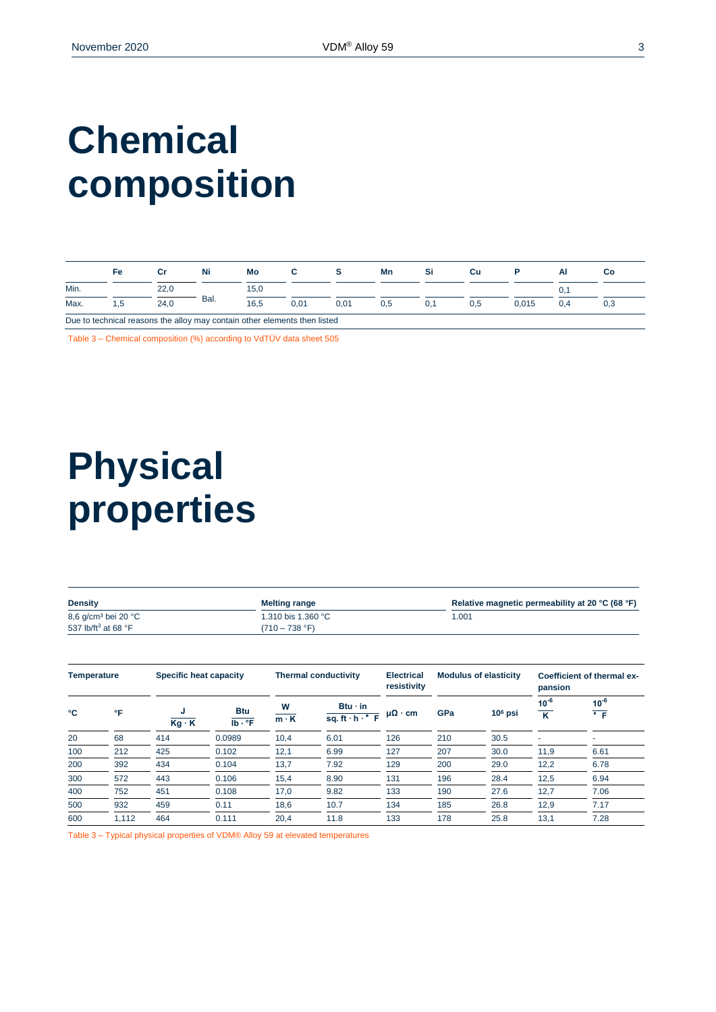## **Chemical composition**

|      | Fe |      | Ni   | Mo                                                                        |      |      | Mn  | Si  | Cu  |       | Al  | Сo  |
|------|----|------|------|---------------------------------------------------------------------------|------|------|-----|-----|-----|-------|-----|-----|
| Min. |    | 22.0 |      | 15,0                                                                      |      |      |     |     |     |       |     |     |
| Max. | .5 | 24.0 | Bal. | 16.5                                                                      | 0.01 | 0,01 | 0,5 | 0.1 | 0.5 | 0.015 | 0.4 | 0,3 |
|      |    |      |      | Due to technical reasons the alloy may contain other elements then listed |      |      |     |     |     |       |     |     |

Table 3 – Chemical composition (%) according to VdTÜV data sheet 505

## **Physical properties**

| <b>Density</b>                           | <b>Melting range</b>     | Relative magnetic permeability at 20 °C (68 °F) |
|------------------------------------------|--------------------------|-------------------------------------------------|
| 8,6 g/cm <sup>3</sup> bei 20 °C          | 1.310 bis 1.360 °C       | 1.001                                           |
| 537 lb/ft <sup>3</sup> at 68 $\degree$ F | $(710 - 738 \text{ °F})$ |                                                 |

| Temperature |       | Specific heat capacity |                                  |                  | <b>Thermal conductivity</b>                          |                      |     | <b>Modulus of elasticity</b> |                                      | Coefficient of thermal ex-<br>pansion |  |
|-------------|-------|------------------------|----------------------------------|------------------|------------------------------------------------------|----------------------|-----|------------------------------|--------------------------------------|---------------------------------------|--|
| ۰c          | °F    | $Kg \cdot K$           | <b>Btu</b><br>$Ib \cdot {}^{o}F$ | W<br>$m \cdot K$ | $Btu \cdot in$<br>sq. ft $\cdot$ h $\cdot$ $\cdot$ F | $\mu\Omega \cdot cm$ | GPa | $106$ psi                    | $10^{-6}$<br>$\overline{\mathbf{K}}$ | $10^{-6}$<br>$\overline{\cdot}$ F     |  |
| 20          | 68    | 414                    | 0.0989                           | 10,4             | 6.01                                                 | 126                  | 210 | 30.5                         | $\overline{\phantom{a}}$             |                                       |  |
| 100         | 212   | 425                    | 0.102                            | 12,1             | 6.99                                                 | 127                  | 207 | 30.0                         | 11,9                                 | 6.61                                  |  |
| 200         | 392   | 434                    | 0.104                            | 13,7             | 7.92                                                 | 129                  | 200 | 29.0                         | 12,2                                 | 6.78                                  |  |
| 300         | 572   | 443                    | 0.106                            | 15,4             | 8.90                                                 | 131                  | 196 | 28.4                         | 12,5                                 | 6.94                                  |  |
| 400         | 752   | 451                    | 0.108                            | 17,0             | 9.82                                                 | 133                  | 190 | 27.6                         | 12,7                                 | 7.06                                  |  |
| 500         | 932   | 459                    | 0.11                             | 18,6             | 10.7                                                 | 134                  | 185 | 26.8                         | 12,9                                 | 7.17                                  |  |
| 600         | 1,112 | 464                    | 0.111                            | 20,4             | 11.8                                                 | 133                  | 178 | 25.8                         | 13,1                                 | 7.28                                  |  |

Table 3 – Typical physical properties of VDM® Alloy 59 at elevated temperatures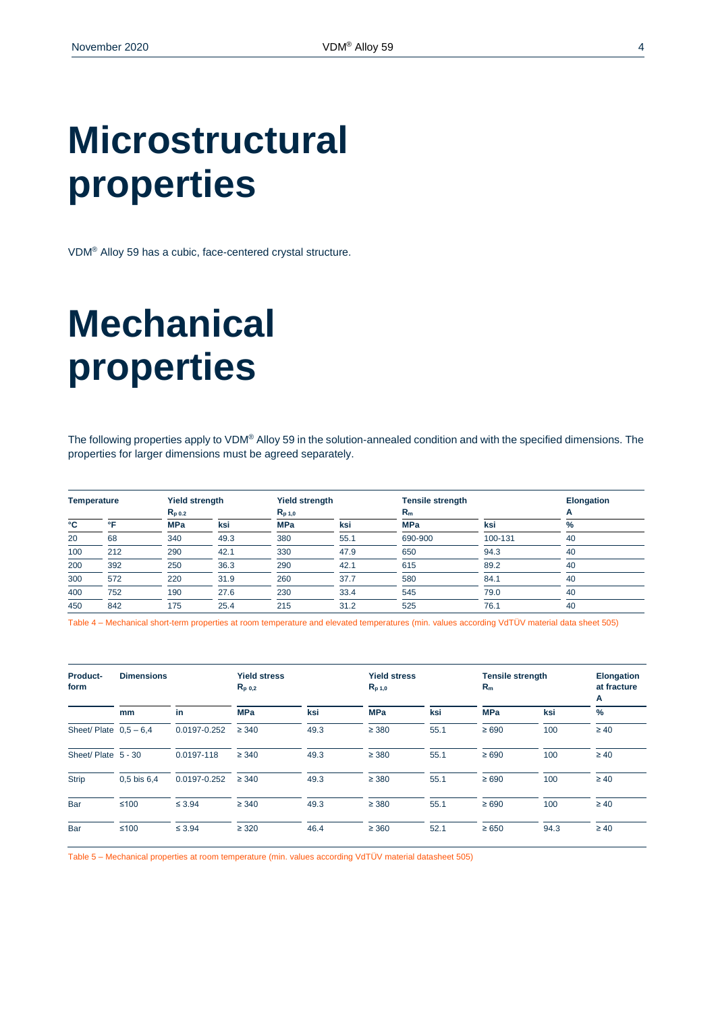## **Microstructural properties**

VDM® Alloy 59 has a cubic, face-centered crystal structure.

# **Mechanical properties**

The following properties apply to VDM® Alloy 59 in the solution-annealed condition and with the specified dimensions. The properties for larger dimensions must be agreed separately.

| <b>Temperature</b> |              | Yield strength |      | <b>Yield strength</b> |      | <b>Tensile strength</b> |         | <b>Elongation</b> |  |
|--------------------|--------------|----------------|------|-----------------------|------|-------------------------|---------|-------------------|--|
|                    |              | $R_{p,0.2}$    |      | $R_{p,1,0}$           |      | $R_m$                   |         |                   |  |
| °C                 | $^{\circ}$ E | <b>MPa</b>     | ksi  | <b>MPa</b>            | ksi  | <b>MPa</b>              | ksi     | %                 |  |
| 20                 | 68           | 340            | 49.3 | 380                   | 55.1 | 690-900                 | 100-131 | 40                |  |
| 100                | 212          | 290            | 42.1 | 330                   | 47.9 | 650                     | 94.3    | 40                |  |
| 200                | 392          | 250            | 36.3 | 290                   | 42.1 | 615                     | 89.2    | 40                |  |
| 300                | 572          | 220            | 31.9 | 260                   | 37.7 | 580                     | 84.1    | 40                |  |
| 400                | 752          | 190            | 27.6 | 230                   | 33.4 | 545                     | 79.0    | 40                |  |
| 450                | 842          | 175            | 25.4 | 215                   | 31.2 | 525                     | 76.1    | 40                |  |

Table 4 – Mechanical short-term properties at room temperature and elevated temperatures (min. values according VdTÜV material data sheet 505)

| Product-<br>form        | <b>Dimensions</b> |              | <b>Yield stress</b><br>$R_{p,0,2}$ |      | <b>Yield stress</b><br>$R_{p,1,0}$ |      | <b>Tensile strength</b><br>$R_m$ |      | <b>Elongation</b><br>at fracture<br>A |
|-------------------------|-------------------|--------------|------------------------------------|------|------------------------------------|------|----------------------------------|------|---------------------------------------|
|                         | mm                | in           | <b>MPa</b>                         | ksi  | <b>MPa</b>                         | ksi  | <b>MPa</b>                       | ksi  | $\frac{9}{6}$                         |
| Sheet/Plate $0.5 - 6.4$ |                   | 0.0197-0.252 | $\geq 340$                         | 49.3 | $\geq$ 380                         | 55.1 | $\geq 690$                       | 100  | $\geq 40$                             |
| Sheet/Plate 5 - 30      |                   | 0.0197-118   | $\geq 340$                         | 49.3 | $\geq$ 380                         | 55.1 | $\geq 690$                       | 100  | $\geq 40$                             |
| <b>Strip</b>            | $0.5$ bis $6.4$   | 0.0197-0.252 | $\geq 340$                         | 49.3 | $\geq 380$                         | 55.1 | $\geq 690$                       | 100  | $\geq 40$                             |
| Bar                     | $≤100$            | $\leq 3.94$  | $\geq 340$                         | 49.3 | $\geq 380$                         | 55.1 | $\geq 690$                       | 100  | $\geq 40$                             |
| Bar                     | $≤100$            | $\leq 3.94$  | $\geq$ 320                         | 46.4 | $\geq 360$                         | 52.1 | $\geq 650$                       | 94.3 | $\geq 40$                             |

Table 5 – Mechanical properties at room temperature (min. values according VdTÜV material datasheet 505)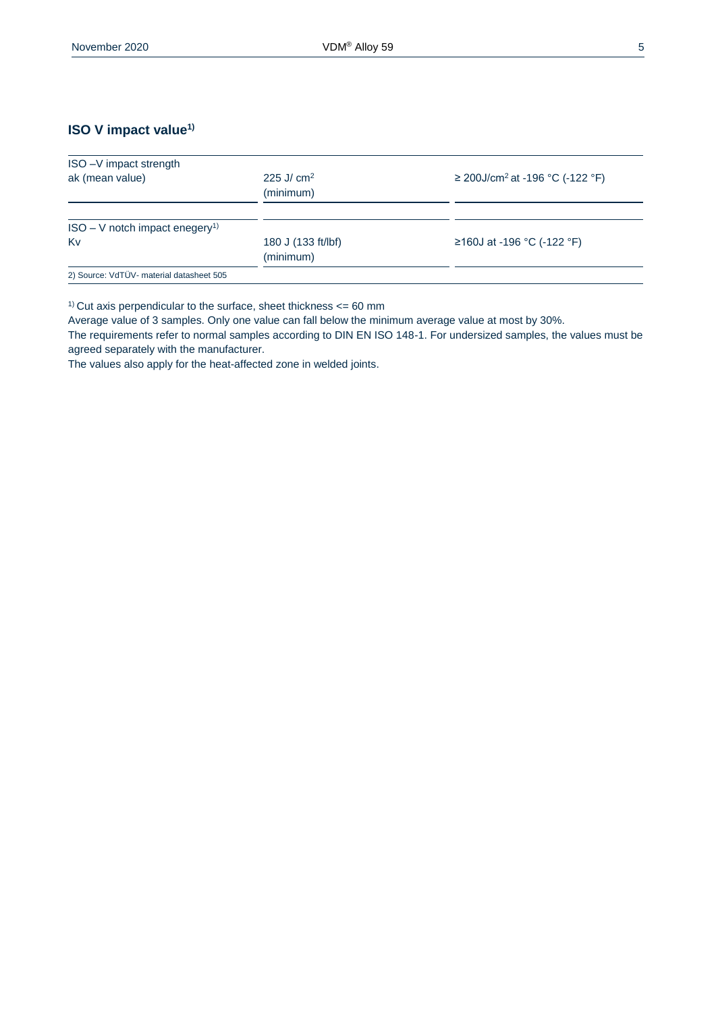#### **ISO V impact value1)**

| ISO-V impact strength                        |                                 |                                             |
|----------------------------------------------|---------------------------------|---------------------------------------------|
| ak (mean value)                              | 225 J/ $cm2$<br>(minimum)       | ≥ 200J/cm <sup>2</sup> at -196 °C (-122 °F) |
| $ISO - V$ notch impact enegery <sup>1)</sup> |                                 |                                             |
| Kv                                           | 180 J (133 ft/lbf)<br>(minimum) | ≥160J at -196 °C (-122 °F)                  |
| 2) Source: VdTÜV- material datasheet 505     |                                 |                                             |

<sup>1)</sup> Cut axis perpendicular to the surface, sheet thickness  $<= 60$  mm

Average value of 3 samples. Only one value can fall below the minimum average value at most by 30%.

The requirements refer to normal samples according to DIN EN ISO 148-1. For undersized samples, the values must be agreed separately with the manufacturer.

The values also apply for the heat-affected zone in welded joints.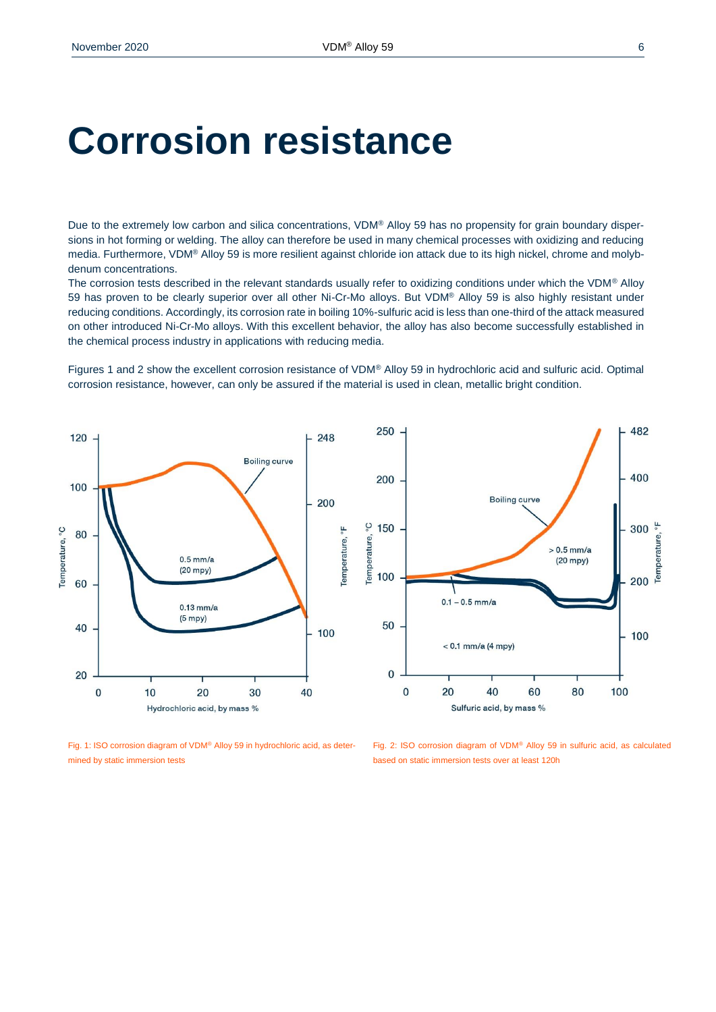### **Corrosion resistance**

Due to the extremely low carbon and silica concentrations, VDM® Alloy 59 has no propensity for grain boundary dispersions in hot forming or welding. The alloy can therefore be used in many chemical processes with oxidizing and reducing media. Furthermore, VDM® Alloy 59 is more resilient against chloride ion attack due to its high nickel, chrome and molybdenum concentrations.

The corrosion tests described in the relevant standards usually refer to oxidizing conditions under which the VDM® Alloy 59 has proven to be clearly superior over all other Ni-Cr-Mo alloys. But VDM® Alloy 59 is also highly resistant under reducing conditions. Accordingly, its corrosion rate in boiling 10%-sulfuric acid is less than one-third of the attack measured on other introduced Ni-Cr-Mo alloys. With this excellent behavior, the alloy has also become successfully established in the chemical process industry in applications with reducing media.

Figures 1 and 2 show the excellent corrosion resistance of VDM® Alloy 59 in hydrochloric acid and sulfuric acid. Optimal corrosion resistance, however, can only be assured if the material is used in clean, metallic bright condition.



Fig. 1: ISO corrosion diagram of VDM® Alloy 59 in hydrochloric acid, as determined by static immersion tests

Fig. 2: ISO corrosion diagram of VDM® Alloy 59 in sulfuric acid, as calculated based on static immersion tests over at least 120h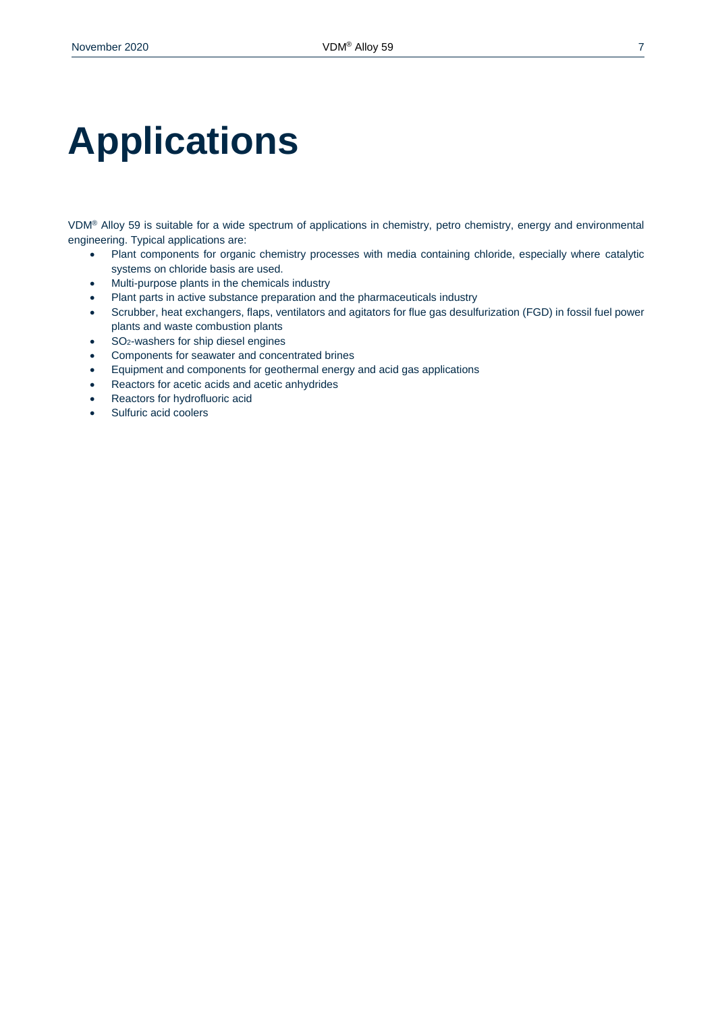# **Applications**

VDM® Alloy 59 is suitable for a wide spectrum of applications in chemistry, petro chemistry, energy and environmental engineering. Typical applications are:

- Plant components for organic chemistry processes with media containing chloride, especially where catalytic systems on chloride basis are used.
- Multi-purpose plants in the chemicals industry
- Plant parts in active substance preparation and the pharmaceuticals industry
- Scrubber, heat exchangers, flaps, ventilators and agitators for flue gas desulfurization (FGD) in fossil fuel power plants and waste combustion plants
- SO<sub>2</sub>-washers for ship diesel engines
- Components for seawater and concentrated brines
- Equipment and components for geothermal energy and acid gas applications
- Reactors for acetic acids and acetic anhydrides
- Reactors for hydrofluoric acid
- Sulfuric acid coolers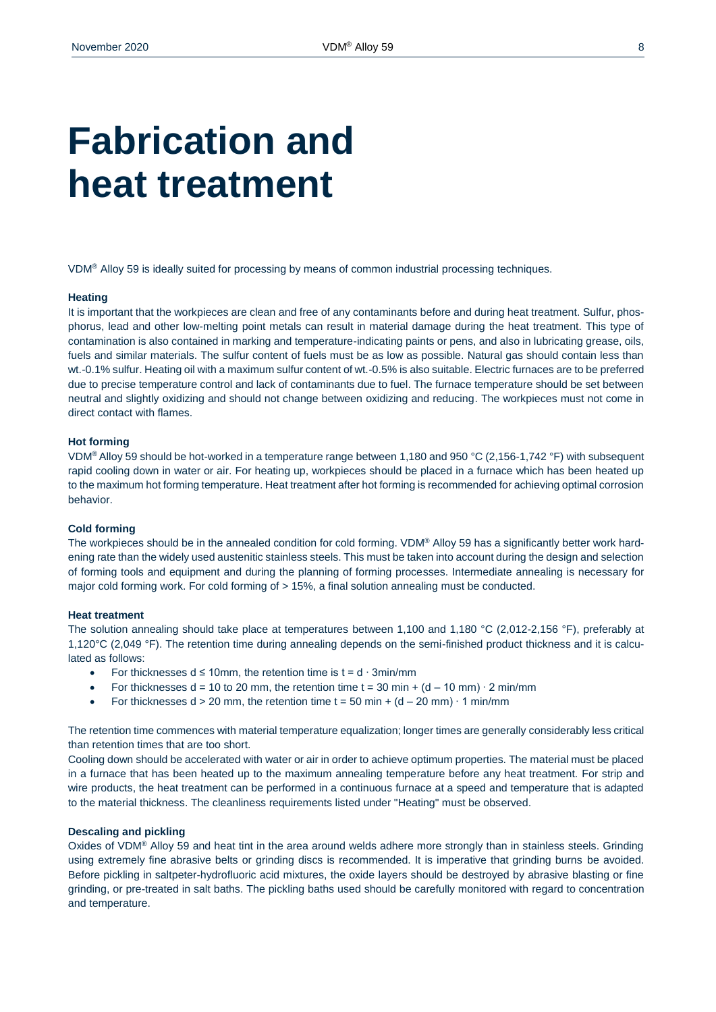### **Fabrication and heat treatment**

VDM® Alloy 59 is ideally suited for processing by means of common industrial processing techniques.

#### **Heating**

It is important that the workpieces are clean and free of any contaminants before and during heat treatment. Sulfur, phosphorus, lead and other low-melting point metals can result in material damage during the heat treatment. This type of contamination is also contained in marking and temperature-indicating paints or pens, and also in lubricating grease, oils, fuels and similar materials. The sulfur content of fuels must be as low as possible. Natural gas should contain less than wt.-0.1% sulfur. Heating oil with a maximum sulfur content of wt.-0.5% is also suitable. Electric furnaces are to be preferred due to precise temperature control and lack of contaminants due to fuel. The furnace temperature should be set between neutral and slightly oxidizing and should not change between oxidizing and reducing. The workpieces must not come in direct contact with flames.

#### **Hot forming**

VDM® Alloy 59 should be hot-worked in a temperature range between 1,180 and 950 °C (2,156-1,742 °F) with subsequent rapid cooling down in water or air. For heating up, workpieces should be placed in a furnace which has been heated up to the maximum hot forming temperature. Heat treatment after hot forming is recommended for achieving optimal corrosion behavior.

#### **Cold forming**

The workpieces should be in the annealed condition for cold forming. VDM® Alloy 59 has a significantly better work hardening rate than the widely used austenitic stainless steels. This must be taken into account during the design and selection of forming tools and equipment and during the planning of forming processes. Intermediate annealing is necessary for major cold forming work. For cold forming of > 15%, a final solution annealing must be conducted.

#### **Heat treatment**

The solution annealing should take place at temperatures between 1,100 and 1,180 °C (2,012-2,156 °F), preferably at 1,120°C (2,049 °F). The retention time during annealing depends on the semi-finished product thickness and it is calculated as follows:

- For thicknesses d ≤ 10mm, the retention time is  $t = d \cdot 3$ min/mm
- For thicknesses d = 10 to 20 mm, the retention time t = 30 min +  $(d 10$  mm)  $\cdot$  2 min/mm
- For thicknesses  $d > 20$  mm, the retention time  $t = 50$  min +  $(d 20$  mm)  $\cdot$  1 min/mm

The retention time commences with material temperature equalization; longer times are generally considerably less critical than retention times that are too short.

Cooling down should be accelerated with water or air in order to achieve optimum properties. The material must be placed in a furnace that has been heated up to the maximum annealing temperature before any heat treatment. For strip and wire products, the heat treatment can be performed in a continuous furnace at a speed and temperature that is adapted to the material thickness. The cleanliness requirements listed under "Heating" must be observed.

#### **Descaling and pickling**

Oxides of VDM® Alloy 59 and heat tint in the area around welds adhere more strongly than in stainless steels. Grinding using extremely fine abrasive belts or grinding discs is recommended. It is imperative that grinding burns be avoided. Before pickling in saltpeter-hydrofluoric acid mixtures, the oxide layers should be destroyed by abrasive blasting or fine grinding, or pre-treated in salt baths. The pickling baths used should be carefully monitored with regard to concentration and temperature.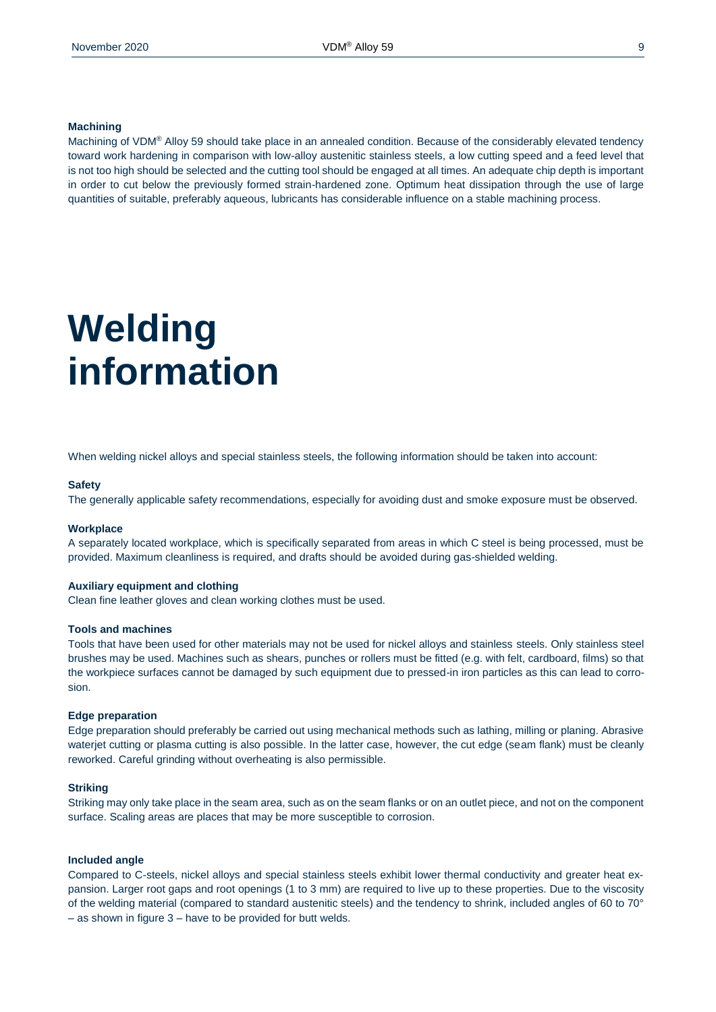#### **Machining**

Machining of VDM® Alloy 59 should take place in an annealed condition. Because of the considerably elevated tendency toward work hardening in comparison with low-alloy austenitic stainless steels, a low cutting speed and a feed level that is not too high should be selected and the cutting tool should be engaged at all times. An adequate chip depth is important in order to cut below the previously formed strain-hardened zone. Optimum heat dissipation through the use of large quantities of suitable, preferably aqueous, lubricants has considerable influence on a stable machining process.

### **Welding information**

When welding nickel alloys and special stainless steels, the following information should be taken into account:

#### **Safety**

The generally applicable safety recommendations, especially for avoiding dust and smoke exposure must be observed.

#### **Workplace**

A separately located workplace, which is specifically separated from areas in which C steel is being processed, must be provided. Maximum cleanliness is required, and drafts should be avoided during gas-shielded welding.

#### **Auxiliary equipment and clothing**

Clean fine leather gloves and clean working clothes must be used.

#### **Tools and machines**

Tools that have been used for other materials may not be used for nickel alloys and stainless steels. Only stainless steel brushes may be used. Machines such as shears, punches or rollers must be fitted (e.g. with felt, cardboard, films) so that the workpiece surfaces cannot be damaged by such equipment due to pressed-in iron particles as this can lead to corrosion.

#### **Edge preparation**

Edge preparation should preferably be carried out using mechanical methods such as lathing, milling or planing. Abrasive waterjet cutting or plasma cutting is also possible. In the latter case, however, the cut edge (seam flank) must be cleanly reworked. Careful grinding without overheating is also permissible.

#### **Striking**

Striking may only take place in the seam area, such as on the seam flanks or on an outlet piece, and not on the component surface. Scaling areas are places that may be more susceptible to corrosion.

#### **Included angle**

Compared to C-steels, nickel alloys and special stainless steels exhibit lower thermal conductivity and greater heat expansion. Larger root gaps and root openings (1 to 3 mm) are required to live up to these properties. Due to the viscosity of the welding material (compared to standard austenitic steels) and the tendency to shrink, included angles of 60 to 70° – as shown in figure 3 – have to be provided for butt welds.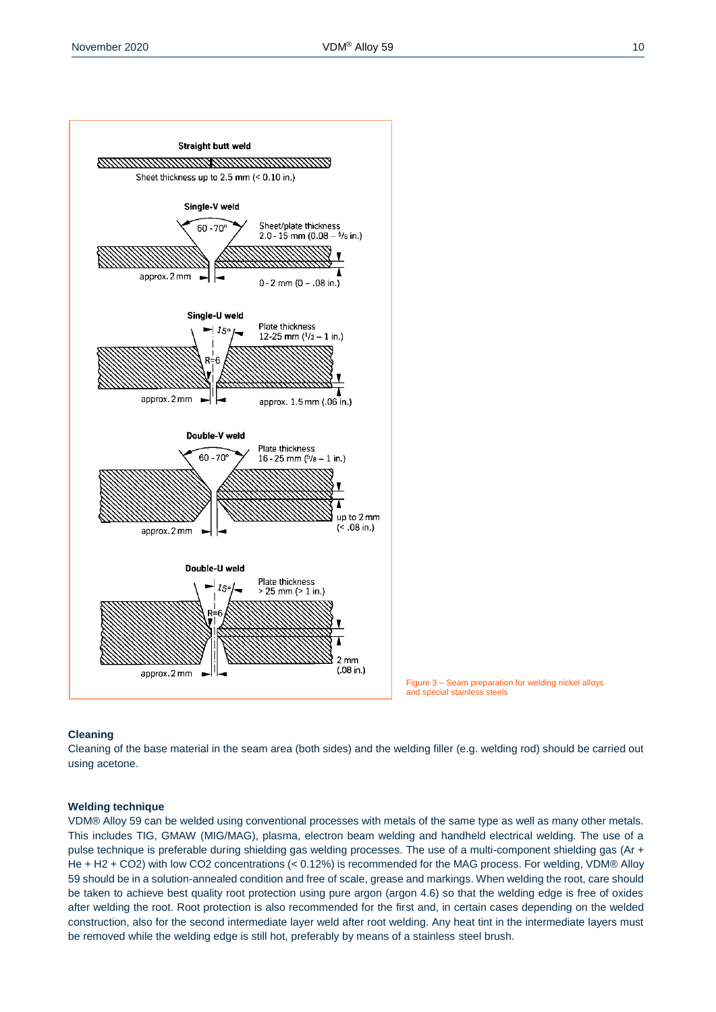



#### **Cleaning**

Cleaning of the base material in the seam area (both sides) and the welding filler (e.g. welding rod) should be carried out using acetone.

#### **Welding technique**

VDM® Alloy 59 can be welded using conventional processes with metals of the same type as well as many other metals. This includes TIG, GMAW (MIG/MAG), plasma, electron beam welding and handheld electrical welding. The use of a pulse technique is preferable during shielding gas welding processes. The use of a multi-component shielding gas (Ar + He + H2 + CO2) with low CO2 concentrations (< 0.12%) is recommended for the MAG process. For welding, VDM® Alloy 59 should be in a solution-annealed condition and free of scale, grease and markings. When welding the root, care should be taken to achieve best quality root protection using pure argon (argon 4.6) so that the welding edge is free of oxides after welding the root. Root protection is also recommended for the first and, in certain cases depending on the welded construction, also for the second intermediate layer weld after root welding. Any heat tint in the intermediate layers must be removed while the welding edge is still hot, preferably by means of a stainless steel brush.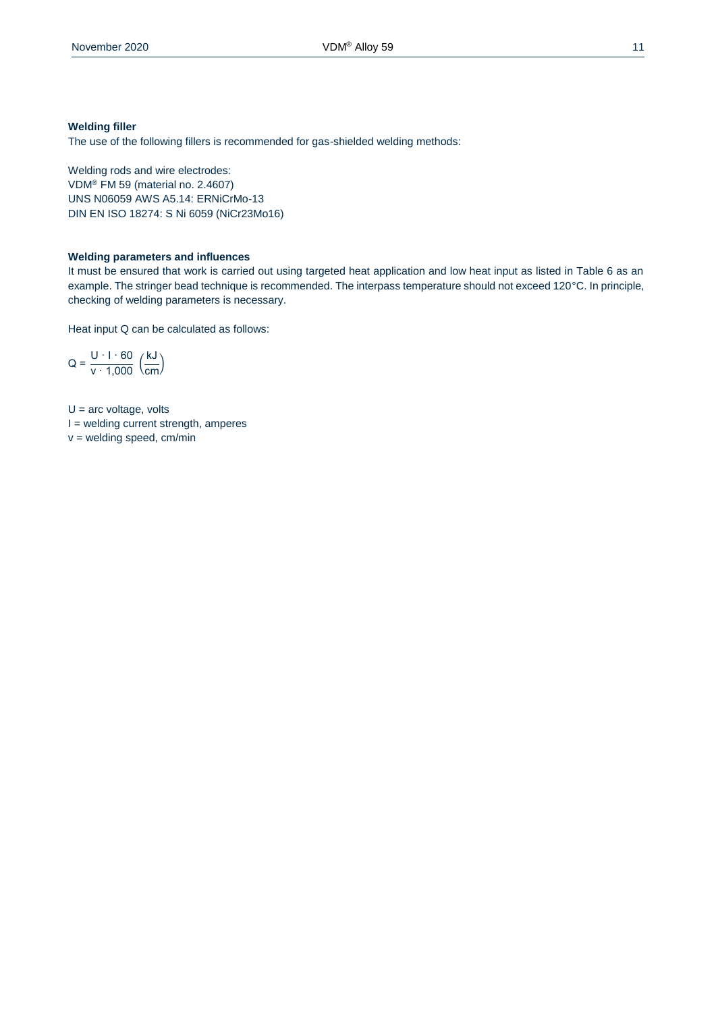#### **Welding filler**

The use of the following fillers is recommended for gas-shielded welding methods:

Welding rods and wire electrodes: VDM® FM 59 (material no. 2.4607) UNS N06059 AWS A5.14: ERNiCrMo-13 DIN EN ISO 18274: S Ni 6059 (NiCr23Mo16)

#### **Welding parameters and influences**

It must be ensured that work is carried out using targeted heat application and low heat input as listed in Table 6 as an example. The stringer bead technique is recommended. The interpass temperature should not exceed 120°C. In principle, checking of welding parameters is necessary.

Heat input Q can be calculated as follows:

$$
Q = \frac{U \cdot 1 \cdot 60}{v \cdot 1,000} \cdot \left(\frac{kJ}{cm}\right)
$$

 $U =$  arc voltage, volts I = welding current strength, amperes

 $v =$  welding speed, cm/min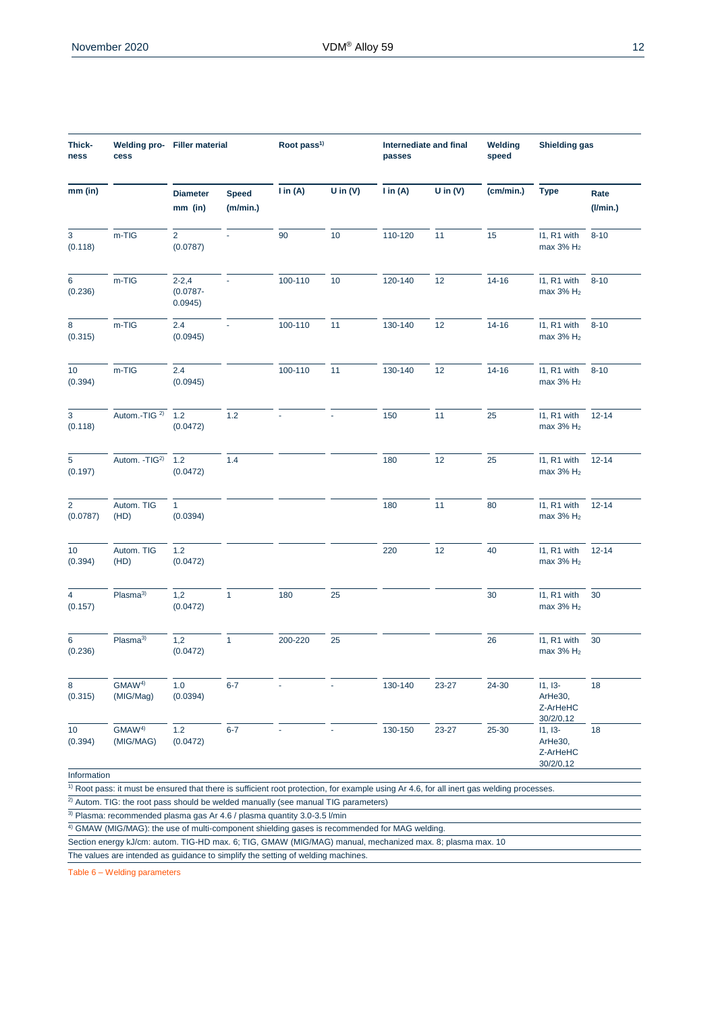| Thick-<br>ness             | Welding pro- Filler material<br>cess                                                                                                                  |                                     |                          | Root pass <sup>1)</sup> |            | passes              | Internediate and final | Welding<br>speed | <b>Shielding gas</b>                          |                        |
|----------------------------|-------------------------------------------------------------------------------------------------------------------------------------------------------|-------------------------------------|--------------------------|-------------------------|------------|---------------------|------------------------|------------------|-----------------------------------------------|------------------------|
| mm (in)                    |                                                                                                                                                       | <b>Diameter</b><br>mm (in)          | <b>Speed</b><br>(m/min.) | $\mathsf{I}$ in (A)     | U in $(V)$ | $\mathsf{I}$ in (A) | U in $(V)$             | (cm/min.)        | <b>Type</b>                                   | Rate<br>$($ l/min. $)$ |
| 3<br>(0.118)               | m-TIG                                                                                                                                                 | $\overline{a}$<br>(0.0787)          |                          | 90                      | 10         | 110-120             | 11                     | 15               | I1, R1 with<br>max 3% H <sub>2</sub>          | $8 - 10$               |
| 6<br>(0.236)               | m-TIG                                                                                                                                                 | $2 - 2, 4$<br>$(0.0787 -$<br>0.0945 |                          | 100-110                 | 10         | 120-140             | 12                     | $14 - 16$        | I1, R1 with<br>max 3% H <sub>2</sub>          | $8 - 10$               |
| 8<br>(0.315)               | m-TIG                                                                                                                                                 | 2.4<br>(0.0945)                     | $\omega$                 | 100-110                 | 11         | 130-140             | 12                     | $14 - 16$        | I1, R1 with<br>max 3% H <sub>2</sub>          | $8 - 10$               |
| 10 <sup>°</sup><br>(0.394) | m-TIG                                                                                                                                                 | 2.4<br>(0.0945)                     |                          | 100-110                 | 11         | 130-140             | 12                     | $14 - 16$        | I1, R1 with<br>max 3% H <sub>2</sub>          | $8 - 10$               |
| 3<br>(0.118)               | Autom.-TIG <sup>2</sup> 1.2                                                                                                                           | (0.0472)                            | 1.2                      |                         |            | 150                 | 11                     | 25               | I1, R1 with<br>max 3% H <sub>2</sub>          | $12 - 14$              |
| 5<br>(0.197)               | Autom. - TIG <sup>2)</sup> 1.2                                                                                                                        | (0.0472)                            | 1.4                      |                         |            | 180                 | 12                     | 25               | I1, R1 with<br>max $3\%$ H <sub>2</sub>       | $12 - 14$              |
| $\overline{2}$<br>(0.0787) | Autom. TIG<br>(HD)                                                                                                                                    | 1<br>(0.0394)                       |                          |                         |            | 180                 | 11                     | 80               | I1, R1 with<br>max 3% H <sub>2</sub>          | $12 - 14$              |
| 10<br>(0.394)              | Autom. TIG<br>(HD)                                                                                                                                    | 1.2<br>(0.0472)                     |                          |                         |            | 220                 | 12                     | 40               | I1, R1 with<br>max 3% H <sub>2</sub>          | $12 - 14$              |
| $\overline{4}$<br>(0.157)  | Plasma <sup>3)</sup>                                                                                                                                  | 1,2<br>(0.0472)                     | $\mathbf{1}$             | 180                     | 25         |                     |                        | 30               | I1, R1 with<br>max 3% H <sub>2</sub>          | 30                     |
| 6<br>(0.236)               | Plasma <sup>3)</sup>                                                                                                                                  | 1,2<br>(0.0472)                     | $\mathbf{1}$             | 200-220                 | 25         |                     |                        | 26               | I1, R1 with<br>max $3\%$ H <sub>2</sub>       | 30                     |
| 8<br>(0.315)               | GMAW <sup>4)</sup><br>(MIG/Mag)                                                                                                                       | 1.0<br>(0.0394)                     | $6 - 7$                  |                         |            | 130-140             | 23-27                  | 24-30            | $11, 13-$<br>ArHe30,<br>Z-ArHeHC<br>30/2/0.12 | 18                     |
| 10<br>(0.394)              | GMAW <sup>4)</sup><br>(MIG/MAG)                                                                                                                       | 1.2<br>(0.0472)                     | $6 - 7$                  |                         |            | 130-150             | 23-27                  | 25-30            | $11, 13-$<br>ArHe30,<br>Z-ArHeHC<br>30/2/0.12 | 18                     |
| Information                | $\overline{1}$ Root pass: it must be ensured that there is sufficient root protection, for example using Ar 4.6, for all inert gas welding processes. |                                     |                          |                         |            |                     |                        |                  |                                               |                        |

<sup>2)</sup> Autom. TIG: the root pass should be welded manually (see manual TIG parameters)

3) Plasma: recommended plasma gas Ar 4.6 / plasma quantity 3.0-3.5 l/min

4) GMAW (MIG/MAG): the use of multi-component shielding gases is recommended for MAG welding.

Section energy kJ/cm: autom. TIG-HD max. 6; TIG, GMAW (MIG/MAG) manual, mechanized max. 8; plasma max. 10

The values are intended as guidance to simplify the setting of welding machines.

Table 6 – Welding parameters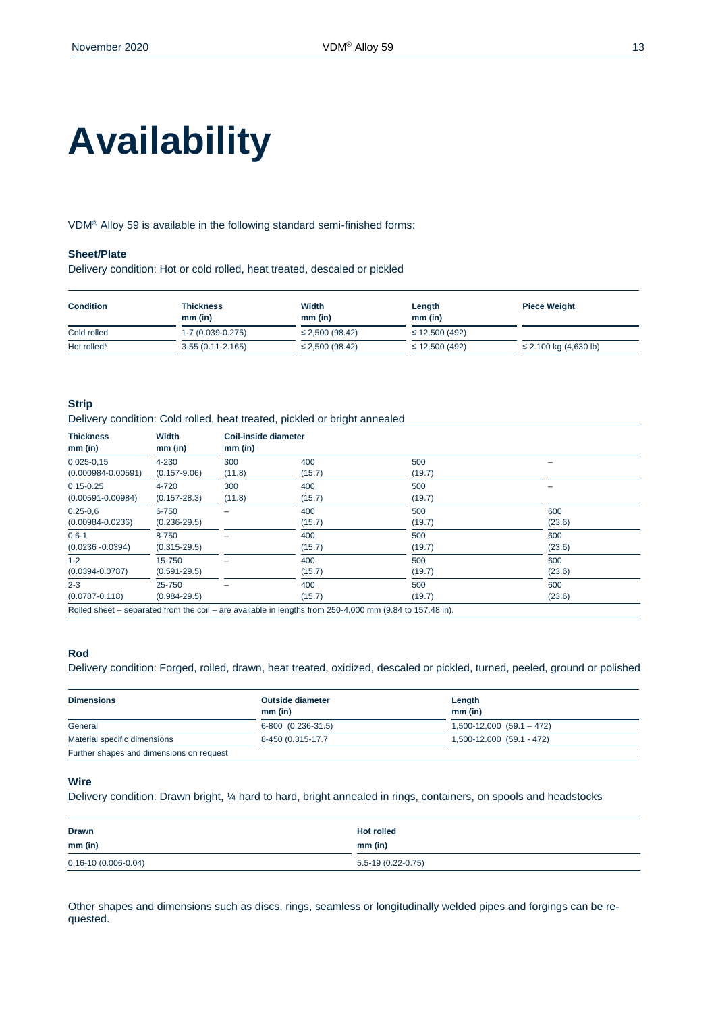# **Availability**

VDM® Alloy 59 is available in the following standard semi-finished forms:

#### **Sheet/Plate**

Delivery condition: Hot or cold rolled, heat treated, descaled or pickled

| <b>Condition</b> | <b>Thickness</b><br>$mm$ (in) | Width<br>$mm$ (in)   | Length<br>$mm$ (in) | <b>Piece Weight</b>        |
|------------------|-------------------------------|----------------------|---------------------|----------------------------|
| Cold rolled      | 1-7 (0.039-0.275)             | $\leq$ 2,500 (98.42) | $\leq$ 12,500 (492) |                            |
| Hot rolled*      | $3-55(0.11-2.165)$            | $\leq$ 2,500 (98.42) | $\leq$ 12,500 (492) | $\leq$ 2.100 kg (4,630 lb) |

#### **Strip**

Delivery condition: Cold rolled, heat treated, pickled or bright annealed

| Width<br>$mm$ (in) | mm (in) |        |                      |        |
|--------------------|---------|--------|----------------------|--------|
| 4-230              | 300     | 400    | 500                  |        |
| $(0.157 - 9.06)$   | (11.8)  | (15.7) | (19.7)               |        |
| 4-720              | 300     | 400    | 500                  |        |
| $(0.157 - 28.3)$   | (11.8)  | (15.7) | (19.7)               |        |
| 6-750              |         | 400    | 500                  | 600    |
| $(0.236 - 29.5)$   |         | (15.7) | (19.7)               | (23.6) |
| 8-750              |         | 400    | 500                  | 600    |
| $(0.315 - 29.5)$   |         | (15.7) | (19.7)               | (23.6) |
| 15-750             |         | 400    | 500                  | 600    |
| $(0.591 - 29.5)$   |         | (15.7) | (19.7)               | (23.6) |
| 25-750             |         | 400    | 500                  | 600    |
| $(0.984 - 29.5)$   |         | (15.7) | (19.7)               | (23.6) |
|                    |         |        | Coil-inside diameter |        |

Rolled sheet – separated from the coil – are available in lengths from 250-4,000 mm (9.84 to 157.48 in).

#### **Rod**

Delivery condition: Forged, rolled, drawn, heat treated, oxidized, descaled or pickled, turned, peeled, ground or polished

| <b>Dimensions</b>                        | <b>Outside diameter</b> | Length                        |
|------------------------------------------|-------------------------|-------------------------------|
|                                          | $mm$ (in)               | $mm$ (in)                     |
| General                                  | 6-800 (0.236-31.5)      | $1,500-12,000$ $(59.1 - 472)$ |
| Material specific dimensions             | 8-450 (0.315-17.7)      | 1,500-12.000 (59.1 - 472)     |
| Further shapes and dimensions on request |                         |                               |

#### **Wire**

Delivery condition: Drawn bright, ¼ hard to hard, bright annealed in rings, containers, on spools and headstocks

| <b>Drawn</b>                                            | <b>Hot rolled</b>  |
|---------------------------------------------------------|--------------------|
| $mm$ (in)<br><b>Contract Contract Contract Contract</b> | mm (in)            |
| $0.16 - 10(0.006 - 0.04)$                               | 5.5-19 (0.22-0.75) |
|                                                         |                    |

Other shapes and dimensions such as discs, rings, seamless or longitudinally welded pipes and forgings can be requested.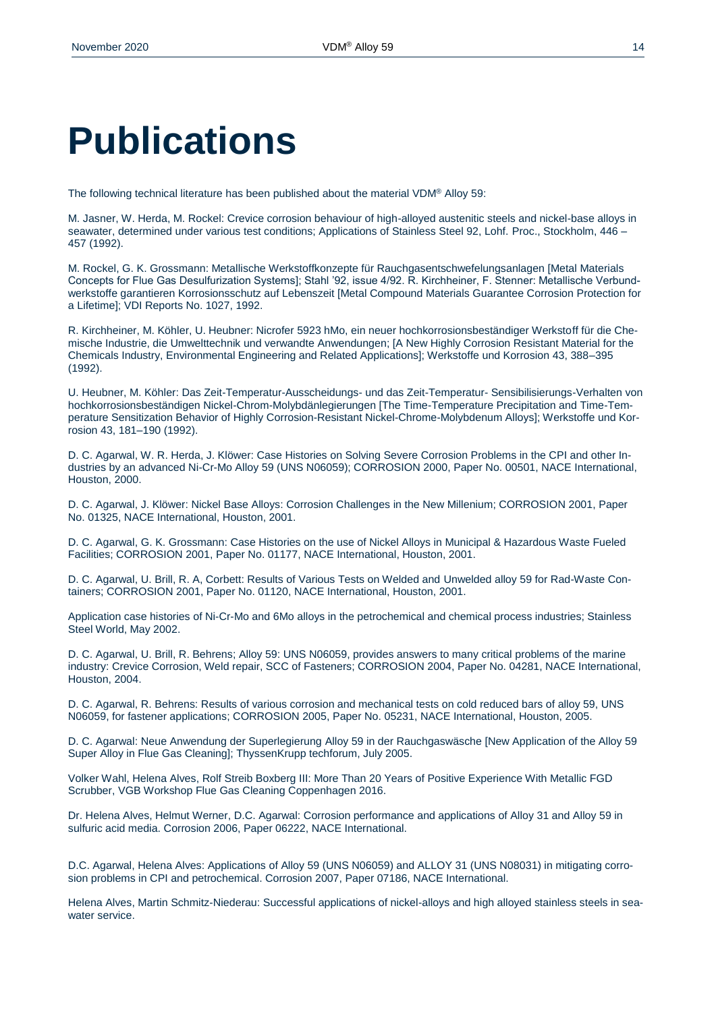### **Publications**

The following technical literature has been published about the material VDM® Alloy 59:

M. Jasner, W. Herda, M. Rockel: Crevice corrosion behaviour of high-alloyed austenitic steels and nickel-base alloys in seawater, determined under various test conditions; Applications of Stainless Steel 92, Lohf. Proc., Stockholm, 446 – 457 (1992).

M. Rockel, G. K. Grossmann: Metallische Werkstoffkonzepte für Rauchgasentschwefelungsanlagen [Metal Materials Concepts for Flue Gas Desulfurization Systems]; Stahl '92, issue 4/92. R. Kirchheiner, F. Stenner: Metallische Verbundwerkstoffe garantieren Korrosionsschutz auf Lebenszeit [Metal Compound Materials Guarantee Corrosion Protection for a Lifetime]; VDI Reports No. 1027, 1992.

R. Kirchheiner, M. Köhler, U. Heubner: Nicrofer 5923 hMo, ein neuer hochkorrosionsbeständiger Werkstoff für die Chemische Industrie, die Umwelttechnik und verwandte Anwendungen; [A New Highly Corrosion Resistant Material for the Chemicals Industry, Environmental Engineering and Related Applications]; Werkstoffe und Korrosion 43, 388–395 (1992).

U. Heubner, M. Köhler: Das Zeit-Temperatur-Ausscheidungs- und das Zeit-Temperatur- Sensibilisierungs-Verhalten von hochkorrosionsbeständigen Nickel-Chrom-Molybdänlegierungen [The Time-Temperature Precipitation and Time-Temperature Sensitization Behavior of Highly Corrosion-Resistant Nickel-Chrome-Molybdenum Alloys]; Werkstoffe und Korrosion 43, 181–190 (1992).

D. C. Agarwal, W. R. Herda, J. Klöwer: Case Histories on Solving Severe Corrosion Problems in the CPI and other Industries by an advanced Ni-Cr-Mo Alloy 59 (UNS N06059); CORROSION 2000, Paper No. 00501, NACE International, Houston, 2000.

D. C. Agarwal, J. Klöwer: Nickel Base Alloys: Corrosion Challenges in the New Millenium; CORROSION 2001, Paper No. 01325, NACE International, Houston, 2001.

D. C. Agarwal, G. K. Grossmann: Case Histories on the use of Nickel Alloys in Municipal & Hazardous Waste Fueled Facilities; CORROSION 2001, Paper No. 01177, NACE International, Houston, 2001.

D. C. Agarwal, U. Brill, R. A, Corbett: Results of Various Tests on Welded and Unwelded alloy 59 for Rad-Waste Containers; CORROSION 2001, Paper No. 01120, NACE International, Houston, 2001.

Application case histories of Ni-Cr-Mo and 6Mo alloys in the petrochemical and chemical process industries; Stainless Steel World, May 2002.

D. C. Agarwal, U. Brill, R. Behrens; Alloy 59: UNS N06059, provides answers to many critical problems of the marine industry: Crevice Corrosion, Weld repair, SCC of Fasteners; CORROSION 2004, Paper No. 04281, NACE International, Houston, 2004.

D. C. Agarwal, R. Behrens: Results of various corrosion and mechanical tests on cold reduced bars of alloy 59, UNS N06059, for fastener applications; CORROSION 2005, Paper No. 05231, NACE International, Houston, 2005.

D. C. Agarwal: Neue Anwendung der Superlegierung Alloy 59 in der Rauchgaswäsche [New Application of the Alloy 59 Super Alloy in Flue Gas Cleaning]; ThyssenKrupp techforum, July 2005.

Volker Wahl, Helena Alves, Rolf Streib Boxberg III: More Than 20 Years of Positive Experience With Metallic FGD Scrubber, VGB Workshop Flue Gas Cleaning Coppenhagen 2016.

Dr. Helena Alves, Helmut Werner, D.C. Agarwal: Corrosion performance and applications of Alloy 31 and Alloy 59 in sulfuric acid media. Corrosion 2006, Paper 06222, NACE International.

D.C. Agarwal, Helena Alves: Applications of Alloy 59 (UNS N06059) and ALLOY 31 (UNS N08031) in mitigating corrosion problems in CPI and petrochemical. Corrosion 2007, Paper 07186, NACE International.

Helena Alves, Martin Schmitz-Niederau: Successful applications of nickel-alloys and high alloyed stainless steels in seawater service.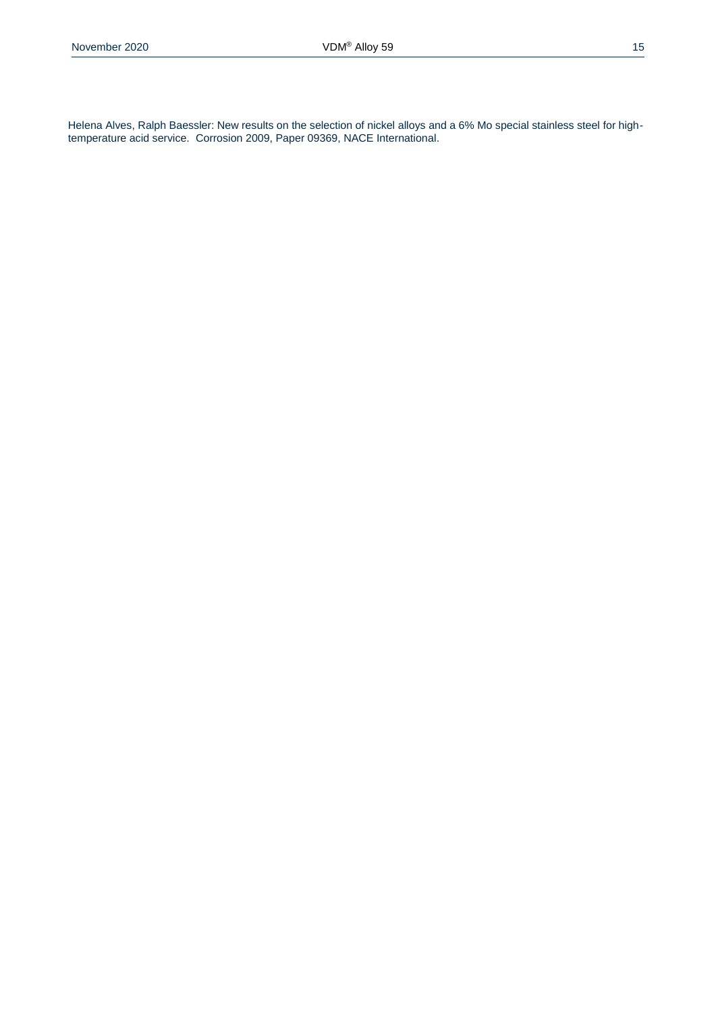Helena Alves, Ralph Baessler: New results on the selection of nickel alloys and a 6% Mo special stainless steel for hightemperature acid service. Corrosion 2009, Paper 09369, NACE International.